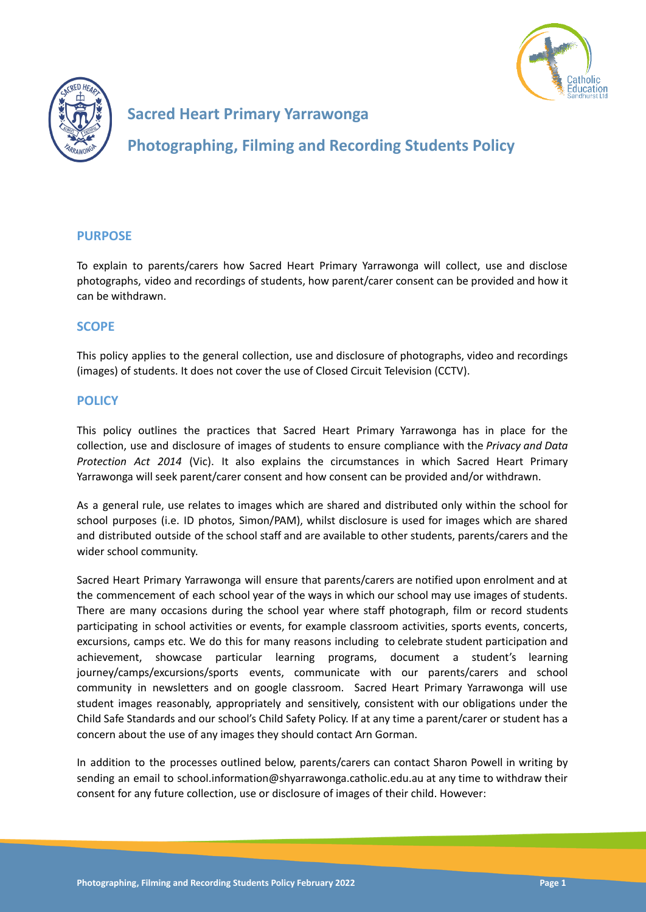



# **Sacred Heart Primary Yarrawonga**

**Photographing, Filming and Recording Students Policy**

## **PURPOSE**

To explain to parents/carers how Sacred Heart Primary Yarrawonga will collect, use and disclose photographs, video and recordings of students, how parent/carer consent can be provided and how it can be withdrawn.

## **SCOPE**

This policy applies to the general collection, use and disclosure of photographs, video and recordings (images) of students. It does not cover the use of Closed Circuit Television (CCTV).

### **POLICY**

This policy outlines the practices that Sacred Heart Primary Yarrawonga has in place for the collection, use and disclosure of images of students to ensure compliance with the *Privacy and Data Protection Act 2014* (Vic). It also explains the circumstances in which Sacred Heart Primary Yarrawonga will seek parent/carer consent and how consent can be provided and/or withdrawn.

As a general rule, use relates to images which are shared and distributed only within the school for school purposes (i.e. ID photos, Simon/PAM), whilst disclosure is used for images which are shared and distributed outside of the school staff and are available to other students, parents/carers and the wider school community.

Sacred Heart Primary Yarrawonga will ensure that parents/carers are notified upon enrolment and at the commencement of each school year of the ways in which our school may use images of students. There are many occasions during the school year where staff photograph, film or record students participating in school activities or events, for example classroom activities, sports events, concerts, excursions, camps etc. We do this for many reasons including to celebrate student participation and achievement, showcase particular learning programs, document a student's learning journey/camps/excursions/sports events, communicate with our parents/carers and school community in newsletters and on google classroom. Sacred Heart Primary Yarrawonga will use student images reasonably, appropriately and sensitively, consistent with our obligations under the Child Safe Standards and our school's Child Safety Policy. If at any time a parent/carer or student has a concern about the use of any images they should contact Arn Gorman.

In addition to the processes outlined below, parents/carers can contact Sharon Powell in writing by sending an email to school.information@shyarrawonga.catholic.edu.au at any time to withdraw their consent for any future collection, use or disclosure of images of their child. However: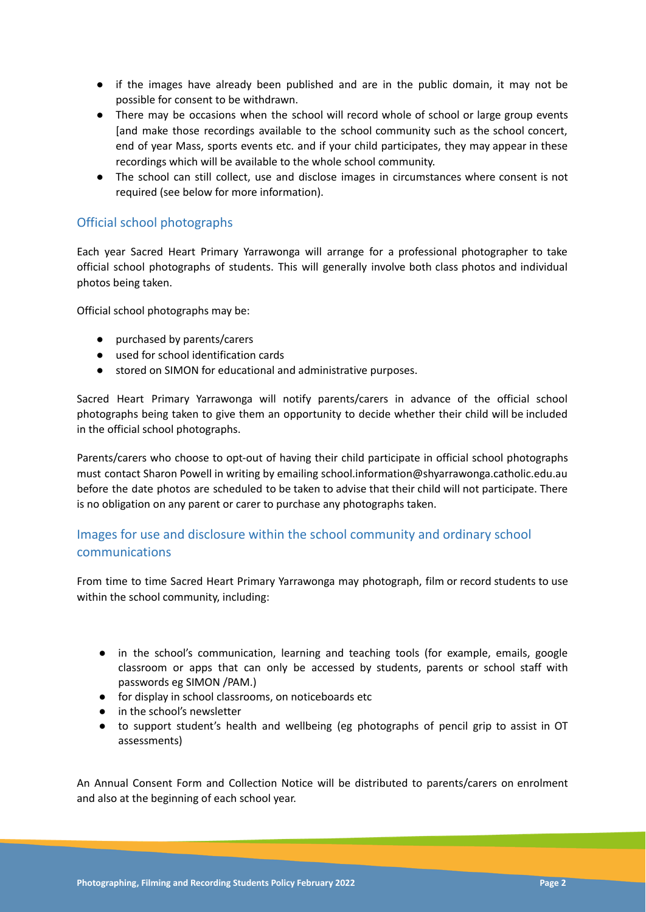- if the images have already been published and are in the public domain, it may not be possible for consent to be withdrawn.
- There may be occasions when the school will record whole of school or large group events [and make those recordings available to the school community such as the school concert, end of year Mass, sports events etc. and if your child participates, they may appear in these recordings which will be available to the whole school community.
- The school can still collect, use and disclose images in circumstances where consent is not required (see below for more information).

## Official school photographs

Each year Sacred Heart Primary Yarrawonga will arrange for a professional photographer to take official school photographs of students. This will generally involve both class photos and individual photos being taken.

Official school photographs may be:

- purchased by parents/carers
- used for school identification cards
- stored on SIMON for educational and administrative purposes.

Sacred Heart Primary Yarrawonga will notify parents/carers in advance of the official school photographs being taken to give them an opportunity to decide whether their child will be included in the official school photographs.

Parents/carers who choose to opt-out of having their child participate in official school photographs must contact Sharon Powell in writing by emailing school.information@shyarrawonga.catholic.edu.au before the date photos are scheduled to be taken to advise that their child will not participate. There is no obligation on any parent or carer to purchase any photographs taken.

# Images for use and disclosure within the school community and ordinary school communications

From time to time Sacred Heart Primary Yarrawonga may photograph, film or record students to use within the school community, including:

- in the school's communication, learning and teaching tools (for example, emails, google classroom or apps that can only be accessed by students, parents or school staff with passwords eg SIMON /PAM.)
- for display in school classrooms, on noticeboards etc
- in the school's newsletter
- to support student's health and wellbeing (eg photographs of pencil grip to assist in OT assessments)

An Annual Consent Form and Collection Notice will be distributed to parents/carers on enrolment and also at the beginning of each school year.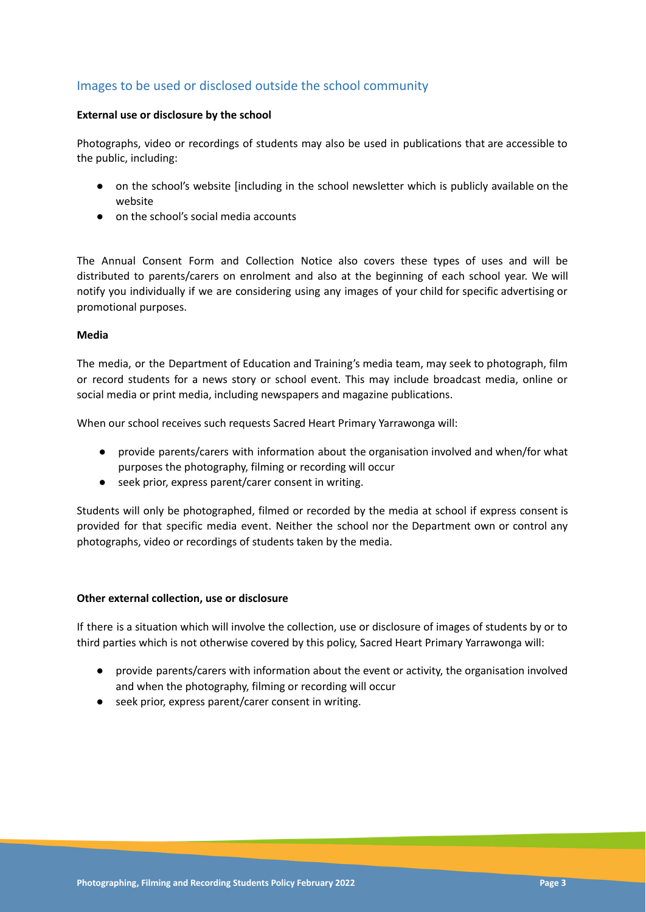## Images to be used or disclosed outside the school community

#### **External use or disclosure by the school**

Photographs, video or recordings of students may also be used in publications that are accessible to the public, including:

- on the school's website [including in the school newsletter which is publicly available on the website
- on the school's social media accounts

The Annual Consent Form and Collection Notice also covers these types of uses and will be distributed to parents/carers on enrolment and also at the beginning of each school year. We will notify you individually if we are considering using any images of your child for specific advertising or promotional purposes.

#### **Media**

The media, or the Department of Education and Training's media team, may seek to photograph, film or record students for a news story or school event. This may include broadcast media, online or social media or print media, including newspapers and magazine publications.

When our school receives such requests Sacred Heart Primary Yarrawonga will:

- provide parents/carers with information about the organisation involved and when/for what purposes the photography, filming or recording will occur
- **●** seek prior, express parent/carer consent in writing.

Students will only be photographed, filmed or recorded by the media at school if express consent is provided for that specific media event. Neither the school nor the Department own or control any photographs, video or recordings of students taken by the media.

#### **Other external collection, use or disclosure**

If there is a situation which will involve the collection, use or disclosure of images of students by or to third parties which is not otherwise covered by this policy, Sacred Heart Primary Yarrawonga will:

- provide parents/carers with information about the event or activity, the organisation involved and when the photography, filming or recording will occur
- **●** seek prior, express parent/carer consent in writing.